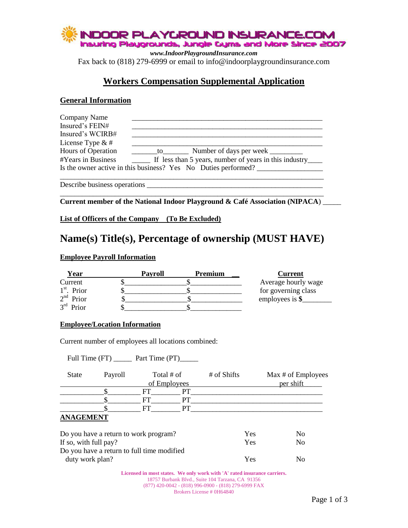

*www.IndoorPlaygroundInsurance.com* Fax back to (818) 279-6999 or email to info@indoorplaygroundinsurance.com

## **Workers Compensation Supplemental Application**

#### **General Information**

| Company Name                                                                                                                                                                                                                                                                                                                                                                      |  |
|-----------------------------------------------------------------------------------------------------------------------------------------------------------------------------------------------------------------------------------------------------------------------------------------------------------------------------------------------------------------------------------|--|
| Insured's FEIN#                                                                                                                                                                                                                                                                                                                                                                   |  |
| Insured's WCIRB#                                                                                                                                                                                                                                                                                                                                                                  |  |
| License Type $&#</math></td><td></td></tr><tr><td>Hours of Operation</td><td>Number of days per week<br><math>\text{to}</math></td></tr><tr><td>#Years in Business</td><td>If less than 5 years, number of years in this industry_</td></tr><tr><td></td><td>Is the owner active in this business? Yes No Duties performed?</td></tr><tr><td></td><td></td></tr></tbody></table>$ |  |

Describe business operations

\_\_\_\_\_\_\_\_\_\_\_\_\_\_\_\_\_\_\_\_\_\_\_\_\_\_\_\_\_\_\_\_\_\_\_\_\_\_\_\_\_\_\_\_\_\_\_\_\_\_\_\_\_\_\_\_\_\_\_\_\_\_\_\_\_\_\_\_\_\_\_\_ **Current member of the National Indoor Playground & Café Association (NIPACA**) \_\_\_\_\_

**List of Officers of the Company (To Be Excluded)**

# **Name(s) Title(s), Percentage of ownership (MUST HAVE)**

#### **Employee Payroll Information**

| Year          | Payroll | Premium | <b>Current</b>      |
|---------------|---------|---------|---------------------|
| Current       |         |         | Average hourly wage |
| $1st$ . Prior |         |         | for governing class |
| $2nd$ Prior   |         |         | employees is $\$    |
| $3rd$ Prior   |         |         |                     |

#### **Employee/Location Information**

Current number of employees all locations combined:

Full Time (FT) \_\_\_\_\_\_\_ Part Time (PT) \_\_\_\_\_\_

| State                                                                                                                 | Payroll | Total # of   | # of Shifts | Max # of Employees |
|-----------------------------------------------------------------------------------------------------------------------|---------|--------------|-------------|--------------------|
|                                                                                                                       |         | of Employees |             | per shift          |
|                                                                                                                       |         |              |             |                    |
|                                                                                                                       |         |              |             |                    |
|                                                                                                                       |         |              |             |                    |
| $\mathbf{1}$ , $\mathbf{1}$ , $\mathbf{1}$ , $\mathbf{1}$ , $\mathbf{1}$ , $\mathbf{1}$ , $\mathbf{1}$ , $\mathbf{1}$ |         |              |             |                    |

#### **ANAGEMENT**

| Do you have a return to work program?      | Yes | N <sub>0</sub> |
|--------------------------------------------|-----|----------------|
| If so, with full pay?                      | Yes | No.            |
| Do you have a return to full time modified |     |                |
| duty work plan?                            | Yes | $\overline{N}$ |

**Licensed in most states. We only work with 'A' rated insurance carriers.** 18757 Burbank Blvd., Suite 104 Tarzana, CA 91356 (877) 420-0042 - (818) 996-0900 - (818) 279-6999 FAX Brokers License # 0H64840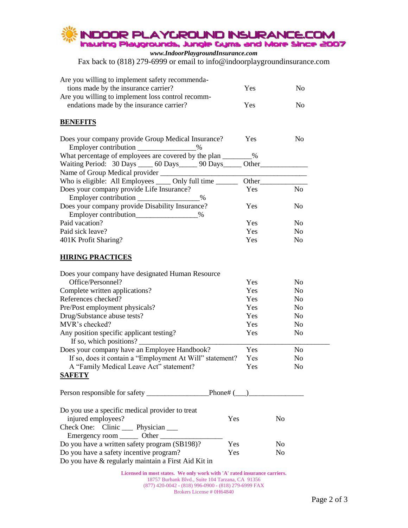

*www.IndoorPlaygroundInsurance.com* Fax back to (818) 279-6999 or email to info@indoorplaygroundinsurance.com

| Are you willing to implement safety recommenda-<br>tions made by the insurance carrier?<br>Are you willing to implement loss control recomm- | Yes        | N <sub>0</sub> |
|----------------------------------------------------------------------------------------------------------------------------------------------|------------|----------------|
| endations made by the insurance carrier?                                                                                                     | Yes        | N <sub>0</sub> |
| <b>BENEFITS</b>                                                                                                                              |            |                |
| Does your company provide Group Medical Insurance?<br>$\%$                                                                                   | Yes        | N <sub>0</sub> |
| What percentage of employees are covered by the plan ________%                                                                               |            |                |
| Waiting Period: 30 Days 60 Days 90 Days 0ther                                                                                                |            |                |
|                                                                                                                                              |            |                |
| Who is eligible: All Employees _____ Only full time _______                                                                                  |            |                |
| Does your company provide Life Insurance?<br>Employer contribution<br>$\%$                                                                   | Yes        | N <sub>0</sub> |
| Does your company provide Disability Insurance?                                                                                              | Yes        | N <sub>0</sub> |
| Employer contribution_________________%                                                                                                      |            |                |
| Paid vacation?                                                                                                                               | Yes        | N <sub>0</sub> |
| Paid sick leave?                                                                                                                             | Yes        | N <sub>o</sub> |
| 401K Profit Sharing?                                                                                                                         | Yes        | N <sub>0</sub> |
| <b>HIRING PRACTICES</b>                                                                                                                      |            |                |
|                                                                                                                                              |            |                |
| Does your company have designated Human Resource                                                                                             |            |                |
| Office/Personnel?                                                                                                                            | Yes        | N <sub>o</sub> |
| Complete written applications?                                                                                                               | Yes        | N <sub>0</sub> |
| References checked?                                                                                                                          | <b>Yes</b> | N <sub>0</sub> |
| Pre/Post employment physicals?                                                                                                               | <b>Yes</b> | N <sub>0</sub> |
| Drug/Substance abuse tests?                                                                                                                  | Yes        | N <sub>0</sub> |
| MVR's checked?                                                                                                                               | Yes        | N <sub>0</sub> |
| Any position specific applicant testing?<br>If so, which positions?                                                                          | Yes        | No             |
| Does your company have an Employee Handbook?                                                                                                 | Yes        | N <sub>o</sub> |
| If so, does it contain a "Employment At Will" statement?                                                                                     | Yes        | N <sub>o</sub> |
| A "Family Medical Leave Act" statement?                                                                                                      | Yes        | N <sub>o</sub> |
| <u>SAFETY</u>                                                                                                                                |            |                |
|                                                                                                                                              |            |                |
|                                                                                                                                              |            |                |
| Do you use a specific medical provider to treat                                                                                              |            |                |
| injured employees?                                                                                                                           | Yes        | N <sub>o</sub> |
| Check One: Clinic ____ Physician ___                                                                                                         |            |                |
| Emergency room ________ Other _______                                                                                                        |            |                |
| Do you have a written safety program (SB198)?                                                                                                | Yes        | No             |
| Do you have a safety incentive program?                                                                                                      | Yes        | No             |
| Do you have & regularly maintain a First Aid Kit in                                                                                          |            |                |

**Licensed in most states. We only work with 'A' rated insurance carriers.** 18757 Burbank Blvd., Suite 104 Tarzana, CA 91356 (877) 420-0042 - (818) 996-0900 - (818) 279-6999 FAX Brokers License # 0H64840